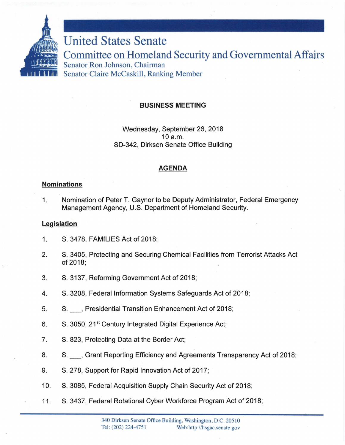

# BUSINESS MEETING

Wednesday, September 26, 2018 10 a.m. SD-342, Dirksen Senate Office Building

# AGENDA

#### Nominations

1. Nomination of Peter T. Gaynor to be Deputy Administrator, Federal Emergency Management Agency, U.S. Department of Homeland Security.

### **Legislation**

- 1. S. 3478, FAMILIES Act of 2018;
- 2. S. 3405, Protecting and Securing Chemical Facilities from Terrorist Attacks Act of 2018;
- 3. S. 3137, Reforming Government Act of 2018;
- 4. S. 3208, Federal Information Systems Safeguards Act of 2018;
- 5. S. \_ , Presidential Transition Enhancement Act of 2018;
- 6. S. 3050, 21<sup>st</sup> Century Integrated Digital Experience Act;
- 7. S. 823, Protecting Data at the Border Act;
- 8. S. \_ , Grant Reporting Efficiency and Agreements Transparency Act of 2018;
- 9. S. 278, Support for Rapid Innovation Act of 2017;
- 10. S. 3085, Federal Acquisition Supply Chain Security Act of 2018;
- 11. S. 3437, Federal Rotational Cyber Workforce Program Act of 2018;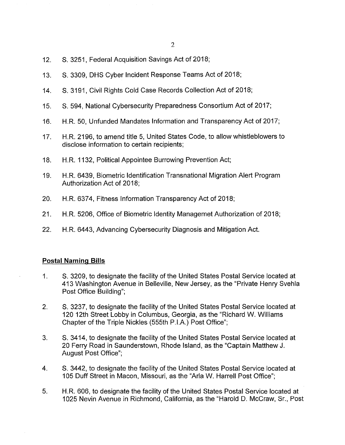- 12. S. 3251, Federal Acquisition Savings Act of 2018;
- 13. S. 3309, OHS Cyber Incident Response Teams Act of 2018;
- 14. S. 3191, Civil Rights Cold Case Records Collection Act of 2018;
- 15. S. 594, National Cybersecurity Preparedness Consortium Act of 2017;
- 16. H.R. 50, Unfunded Mandates Information and Transparency Act of 2017;
- 17. H.R. 2196, to amend title 5, United States Code, to allow whistleblowers to disclose information to certain recipients;
- 18. H.R. 1132, Political Appointee Burrowing Prevention Act;
- 19. H.R. 6439, Biometric Identification Transnational Migration Alert Program Authorization Act of 2018;
- 20. H.R. 6374, Fitness Information Transparency Act of 2018;
- 21. H.R. 5206, Office of Biometric Identity Managemet Authorization of 2018;
- 22. H.R. 6443, Advancing Cybersecurity Diagnosis and Mitigation Act.

## **Postal Naming Bills**

- 1. S. 3209, to designate the facility of the United States Postal Service located at 413 Washington Avenue in Belleville, New Jersey, as the "Private Henry Svehla Post Office Building";
- 2. S. 3237, to designate the facility of the United States Postal Service located at 120 12th Street Lobby in Columbus, Georgia, as the "Richard W. Williams Chapter of the Triple Nickles (555th P.l.A.) Post Office";
- 3. S. 3414, to designate the facility of the United States Postal Service located at 20 Ferry Road in Saunderstown, Rhode Island, as the "Captain Matthew J. August Post Office";
- 4. S. 3442, to designate the facility of the United States Postal Service located at 105 Duff Street in Macon, Missouri, as the "Arla W. Harrell Post Office";
- 5. H.R. 606, to designate the facility of the United States Postal Service located at 1025 Nevin Avenue in Richmond, California, as the "Harold D. McGraw, Sr., Post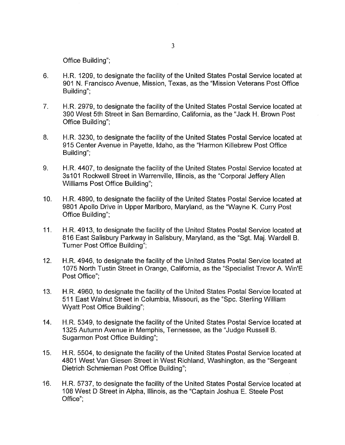Office Building";

- 6. H.R. 1209, to designate the facility of the United States Postal Service located at 901 N. Francisco Avenue, Mission, Texas, as the "Mission Veterans Post Office Building";
- 7. H.R. 2979, to designate the facility of the United States Postal Service located at 390 West 5th Street in San Bernardino, California, as the "Jack H. Brown Post Office Building";
- 8. H.R. 3230, to designate the facility of the United States Postal Service located at 915 Center Avenue in Payette, Idaho, as the "Harmon Killebrew Post Office Building";
- 9. H.R. 4407, to designate the facility of the United States Postal Service located at 3s101 Rockwell Street in Warrenville, Illinois, as the "Corporal Jeffery Allen Williams Post Office Building";
- 10. H.R. 4890, to designate the facility of the United States Postal Service located at 9801 Apollo Drive in Upper Marlboro, Maryland, as the "Wayne K. Curry Post Office Building";
- 11. H.R. 4913, to designate the facility of the United States Postal Service located at 816 East Salisbury Parkway in Salisbury, Maryland, as the "Sgt. Maj. Wardell B. Turner Post Office Building";
- 12. H.R. 4946, to designate the facility of the United States Postal Service located at 1075 North Tustin Street in Orange, California, as the "Specialist Trevor A. Win'E Post Office";
- 13. H. R. 4960, to designate the facility of the United States Postal Service located at 511 East Walnut Street in Columbia, Missouri, as the "Spc. Sterling William Wyatt Post Office Building";
- 14. H.R. 5349, to designate the facility of the United States Postal Service located at 1325 Autumn Avenue in Memphis, Tennessee, as the "Judge Russell B. Sugarman Post Office Building";
- 15. H.R. 5504, to designate the facility of the United States Postal Service located at 4801 West Van Giesen Street in West Richland, Washington, as the "Sergeant Dietrich Schmieman Post Office Building";
- 16. H.R. 5737, to designate the facility of the United States Postal Service located at 108 West D Street in Alpha, Illinois, as the "Captain Joshua E. Steele Post Office";